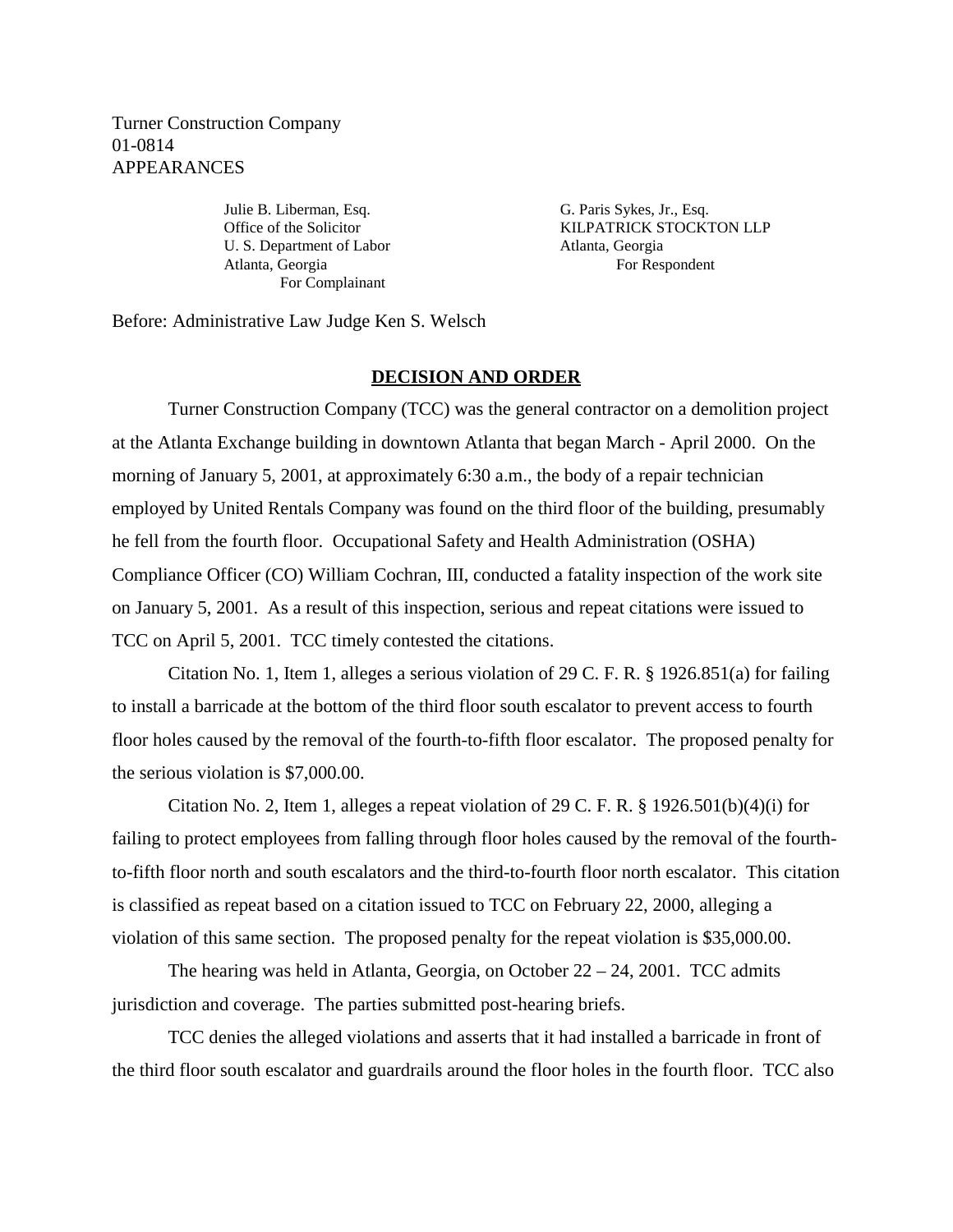Turner Construction Company 01-0814 APPEARANCES

> U. S. Department of Labor Atlanta, Georgia Atlanta, Georgia For Respondent For Complainant

Julie B. Liberman, Esq. G. Paris Sykes, Jr., Esq. Office of the Solicitor **KILPATRICK STOCKTON LLP** 

Before: Administrative Law Judge Ken S. Welsch

## **DECISION AND ORDER**

Turner Construction Company (TCC) was the general contractor on a demolition project at the Atlanta Exchange building in downtown Atlanta that began March - April 2000. On the morning of January 5, 2001, at approximately 6:30 a.m., the body of a repair technician employed by United Rentals Company was found on the third floor of the building, presumably he fell from the fourth floor. Occupational Safety and Health Administration (OSHA) Compliance Officer (CO) William Cochran, III, conducted a fatality inspection of the work site on January 5, 2001. As a result of this inspection, serious and repeat citations were issued to TCC on April 5, 2001. TCC timely contested the citations.

Citation No. 1, Item 1, alleges a serious violation of 29 C. F. R. § 1926.851(a) for failing to install a barricade at the bottom of the third floor south escalator to prevent access to fourth floor holes caused by the removal of the fourth-to-fifth floor escalator. The proposed penalty for the serious violation is \$7,000.00.

Citation No. 2, Item 1, alleges a repeat violation of 29 C. F. R. § 1926.501(b)(4)(i) for failing to protect employees from falling through floor holes caused by the removal of the fourthto-fifth floor north and south escalators and the third-to-fourth floor north escalator. This citation is classified as repeat based on a citation issued to TCC on February 22, 2000, alleging a violation of this same section. The proposed penalty for the repeat violation is \$35,000.00.

The hearing was held in Atlanta, Georgia, on October  $22 - 24$ , 2001. TCC admits jurisdiction and coverage. The parties submitted post-hearing briefs.

TCC denies the alleged violations and asserts that it had installed a barricade in front of the third floor south escalator and guardrails around the floor holes in the fourth floor. TCC also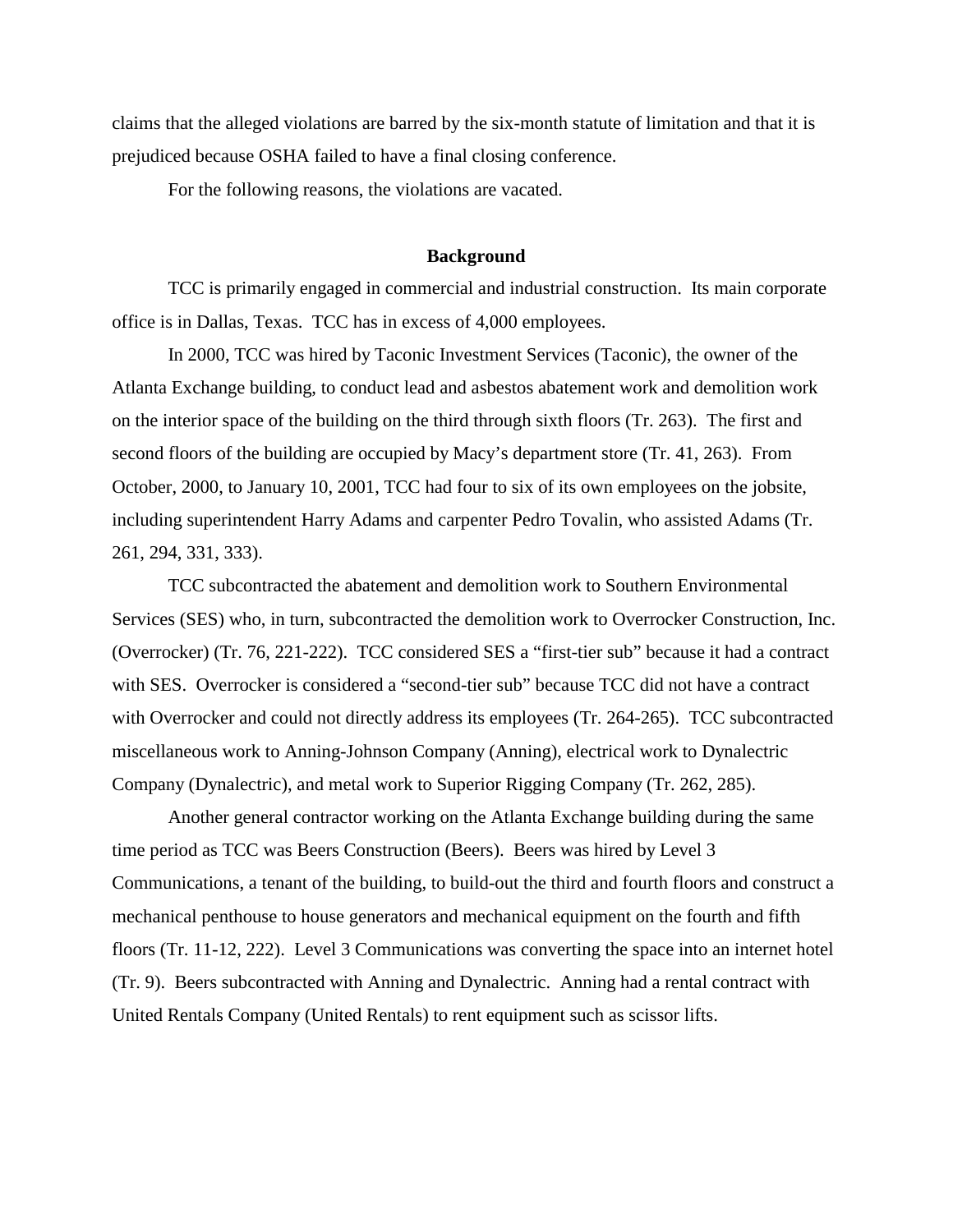claims that the alleged violations are barred by the six-month statute of limitation and that it is prejudiced because OSHA failed to have a final closing conference.

For the following reasons, the violations are vacated.

## **Background**

TCC is primarily engaged in commercial and industrial construction. Its main corporate office is in Dallas, Texas. TCC has in excess of 4,000 employees.

In 2000, TCC was hired by Taconic Investment Services (Taconic), the owner of the Atlanta Exchange building, to conduct lead and asbestos abatement work and demolition work on the interior space of the building on the third through sixth floors (Tr. 263). The first and second floors of the building are occupied by Macy's department store (Tr. 41, 263). From October, 2000, to January 10, 2001, TCC had four to six of its own employees on the jobsite, including superintendent Harry Adams and carpenter Pedro Tovalin, who assisted Adams (Tr. 261, 294, 331, 333).

TCC subcontracted the abatement and demolition work to Southern Environmental Services (SES) who, in turn, subcontracted the demolition work to Overrocker Construction, Inc. (Overrocker) (Tr. 76, 221-222). TCC considered SES a "first-tier sub" because it had a contract with SES. Overrocker is considered a "second-tier sub" because TCC did not have a contract with Overrocker and could not directly address its employees (Tr. 264-265). TCC subcontracted miscellaneous work to Anning-Johnson Company (Anning), electrical work to Dynalectric Company (Dynalectric), and metal work to Superior Rigging Company (Tr. 262, 285).

Another general contractor working on the Atlanta Exchange building during the same time period as TCC was Beers Construction (Beers). Beers was hired by Level 3 Communications, a tenant of the building, to build-out the third and fourth floors and construct a mechanical penthouse to house generators and mechanical equipment on the fourth and fifth floors (Tr. 11-12, 222). Level 3 Communications was converting the space into an internet hotel (Tr. 9). Beers subcontracted with Anning and Dynalectric. Anning had a rental contract with United Rentals Company (United Rentals) to rent equipment such as scissor lifts.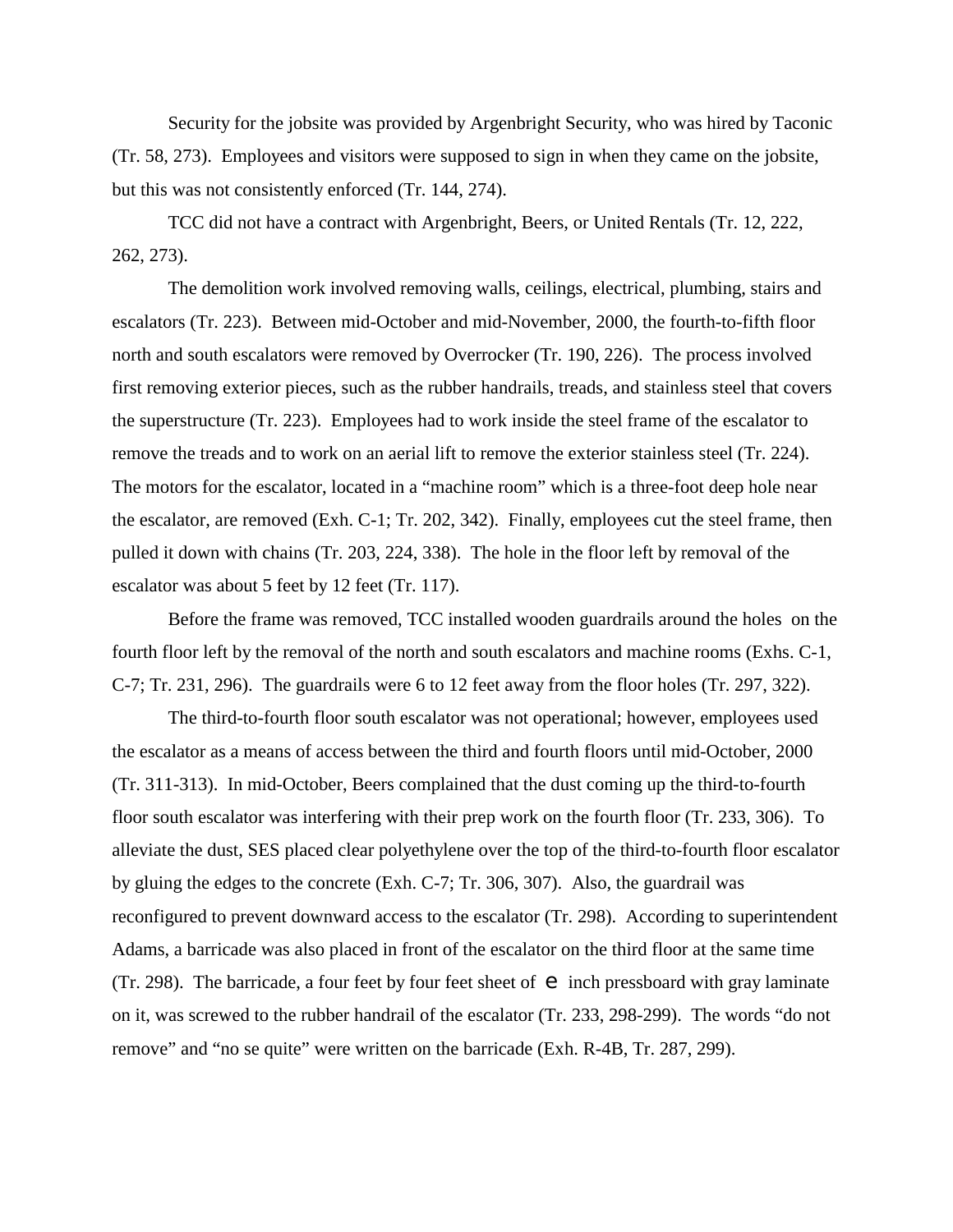Security for the jobsite was provided by Argenbright Security, who was hired by Taconic (Tr. 58, 273). Employees and visitors were supposed to sign in when they came on the jobsite, but this was not consistently enforced (Tr. 144, 274).

TCC did not have a contract with Argenbright, Beers, or United Rentals (Tr. 12, 222, 262, 273).

The demolition work involved removing walls, ceilings, electrical, plumbing, stairs and escalators (Tr. 223). Between mid-October and mid-November, 2000, the fourth-to-fifth floor north and south escalators were removed by Overrocker (Tr. 190, 226). The process involved first removing exterior pieces, such as the rubber handrails, treads, and stainless steel that covers the superstructure (Tr. 223). Employees had to work inside the steel frame of the escalator to remove the treads and to work on an aerial lift to remove the exterior stainless steel (Tr. 224). The motors for the escalator, located in a "machine room" which is a three-foot deep hole near the escalator, are removed (Exh. C-1; Tr. 202, 342). Finally, employees cut the steel frame, then pulled it down with chains (Tr. 203, 224, 338). The hole in the floor left by removal of the escalator was about 5 feet by 12 feet (Tr. 117).

Before the frame was removed, TCC installed wooden guardrails around the holes on the fourth floor left by the removal of the north and south escalators and machine rooms (Exhs. C-1, C-7; Tr. 231, 296). The guardrails were 6 to 12 feet away from the floor holes (Tr. 297, 322).

The third-to-fourth floor south escalator was not operational; however, employees used the escalator as a means of access between the third and fourth floors until mid-October, 2000 (Tr. 311-313). In mid-October, Beers complained that the dust coming up the third-to-fourth floor south escalator was interfering with their prep work on the fourth floor (Tr. 233, 306). To alleviate the dust, SES placed clear polyethylene over the top of the third-to-fourth floor escalator by gluing the edges to the concrete (Exh. C-7; Tr. 306, 307). Also, the guardrail was reconfigured to prevent downward access to the escalator (Tr. 298). According to superintendent Adams, a barricade was also placed in front of the escalator on the third floor at the same time (Tr. 298). The barricade, a four feet by four feet sheet of  $\Theta$  inch pressboard with gray laminate on it, was screwed to the rubber handrail of the escalator (Tr. 233, 298-299). The words "do not remove" and "no se quite" were written on the barricade (Exh. R-4B, Tr. 287, 299).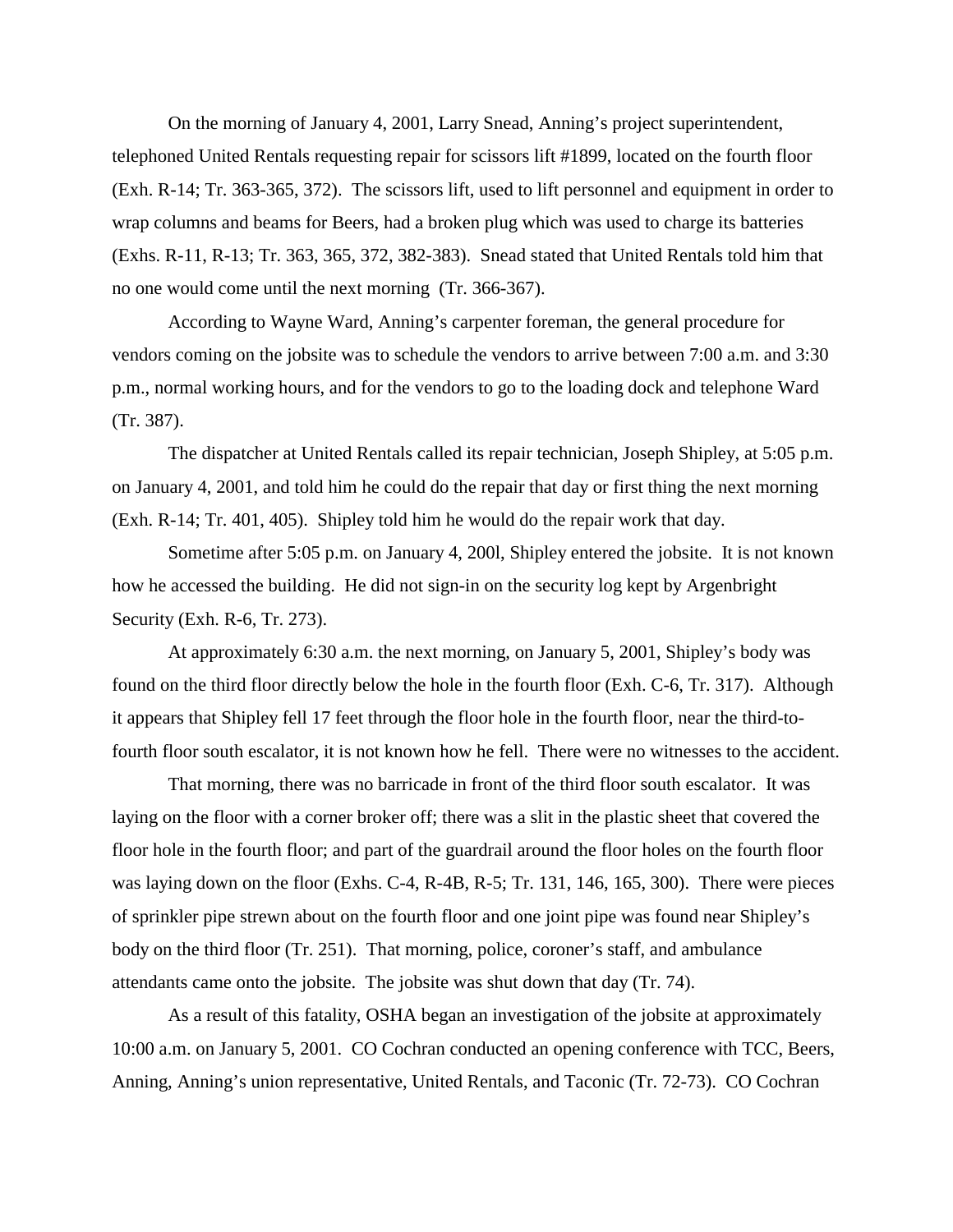On the morning of January 4, 2001, Larry Snead, Anning's project superintendent, telephoned United Rentals requesting repair for scissors lift #1899, located on the fourth floor (Exh. R-14; Tr. 363-365, 372). The scissors lift, used to lift personnel and equipment in order to wrap columns and beams for Beers, had a broken plug which was used to charge its batteries (Exhs. R-11, R-13; Tr. 363, 365, 372, 382-383). Snead stated that United Rentals told him that no one would come until the next morning (Tr. 366-367).

According to Wayne Ward, Anning's carpenter foreman, the general procedure for vendors coming on the jobsite was to schedule the vendors to arrive between 7:00 a.m. and 3:30 p.m., normal working hours, and for the vendors to go to the loading dock and telephone Ward (Tr. 387).

The dispatcher at United Rentals called its repair technician, Joseph Shipley, at 5:05 p.m. on January 4, 2001, and told him he could do the repair that day or first thing the next morning (Exh. R-14; Tr. 401, 405). Shipley told him he would do the repair work that day.

Sometime after 5:05 p.m. on January 4, 200l, Shipley entered the jobsite. It is not known how he accessed the building. He did not sign-in on the security log kept by Argenbright Security (Exh. R-6, Tr. 273).

At approximately 6:30 a.m. the next morning, on January 5, 2001, Shipley's body was found on the third floor directly below the hole in the fourth floor (Exh. C-6, Tr. 317). Although it appears that Shipley fell 17 feet through the floor hole in the fourth floor, near the third-tofourth floor south escalator, it is not known how he fell. There were no witnesses to the accident.

That morning, there was no barricade in front of the third floor south escalator. It was laying on the floor with a corner broker off; there was a slit in the plastic sheet that covered the floor hole in the fourth floor; and part of the guardrail around the floor holes on the fourth floor was laying down on the floor (Exhs. C-4, R-4B, R-5; Tr. 131, 146, 165, 300). There were pieces of sprinkler pipe strewn about on the fourth floor and one joint pipe was found near Shipley's body on the third floor (Tr. 251). That morning, police, coroner's staff, and ambulance attendants came onto the jobsite. The jobsite was shut down that day (Tr. 74).

As a result of this fatality, OSHA began an investigation of the jobsite at approximately 10:00 a.m. on January 5, 2001. CO Cochran conducted an opening conference with TCC, Beers, Anning, Anning's union representative, United Rentals, and Taconic (Tr. 72-73). CO Cochran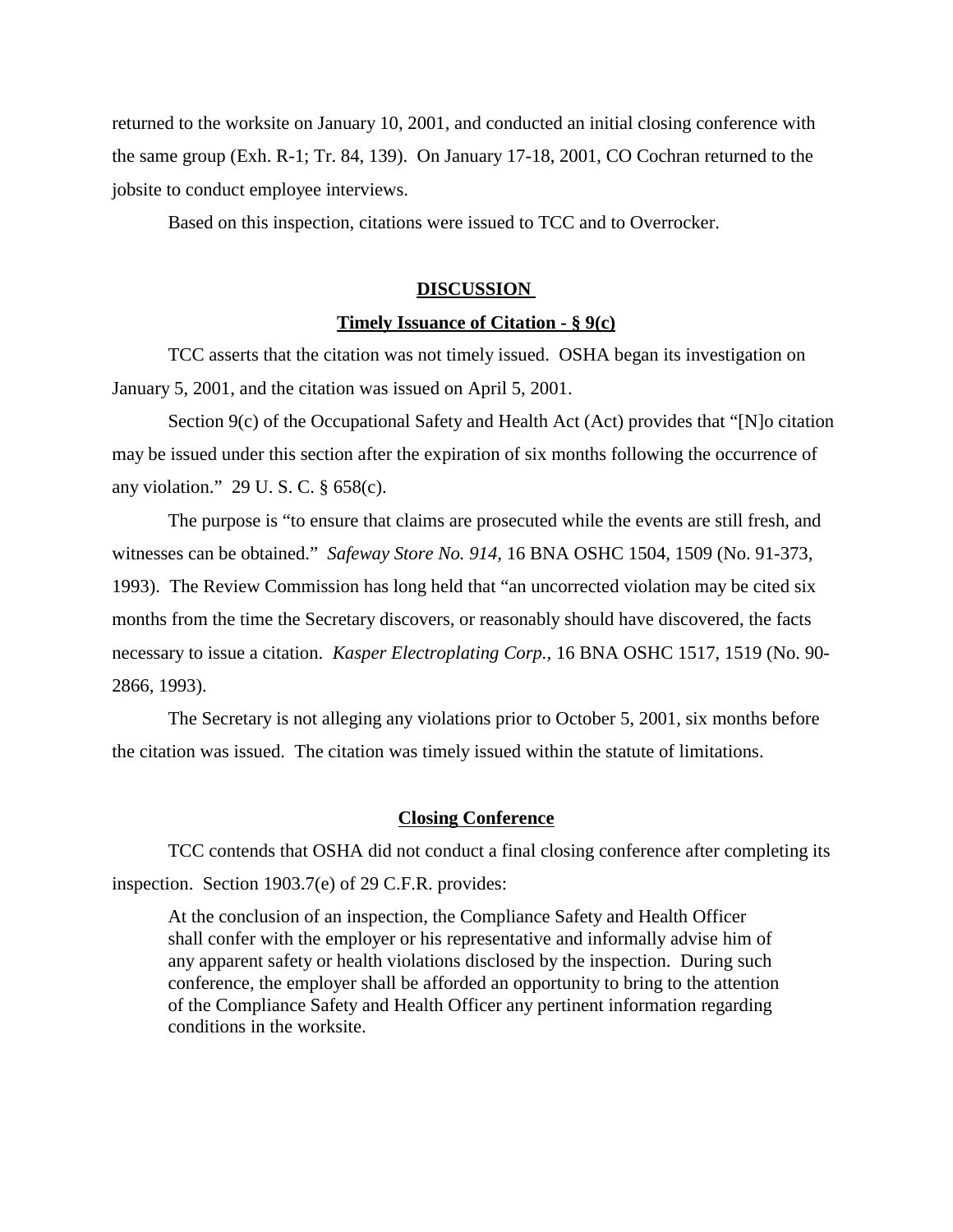returned to the worksite on January 10, 2001, and conducted an initial closing conference with the same group (Exh. R-1; Tr. 84, 139). On January 17-18, 2001, CO Cochran returned to the jobsite to conduct employee interviews.

Based on this inspection, citations were issued to TCC and to Overrocker.

## **DISCUSSION**

#### **Timely Issuance of Citation - § 9(c)**

TCC asserts that the citation was not timely issued. OSHA began its investigation on January 5, 2001, and the citation was issued on April 5, 2001.

Section 9(c) of the Occupational Safety and Health Act (Act) provides that "[N]o citation may be issued under this section after the expiration of six months following the occurrence of any violation." 29 U. S. C. § 658(c).

The purpose is "to ensure that claims are prosecuted while the events are still fresh, and witnesses can be obtained." *Safeway Store No. 914,* 16 BNA OSHC 1504, 1509 (No. 91-373, 1993). The Review Commission has long held that "an uncorrected violation may be cited six months from the time the Secretary discovers, or reasonably should have discovered, the facts necessary to issue a citation. *Kasper Electroplating Corp.,* 16 BNA OSHC 1517, 1519 (No. 90- 2866, 1993).

The Secretary is not alleging any violations prior to October 5, 2001, six months before the citation was issued. The citation was timely issued within the statute of limitations.

#### **Closing Conference**

TCC contends that OSHA did not conduct a final closing conference after completing its inspection. Section 1903.7(e) of 29 C.F.R. provides:

At the conclusion of an inspection, the Compliance Safety and Health Officer shall confer with the employer or his representative and informally advise him of any apparent safety or health violations disclosed by the inspection. During such conference, the employer shall be afforded an opportunity to bring to the attention of the Compliance Safety and Health Officer any pertinent information regarding conditions in the worksite.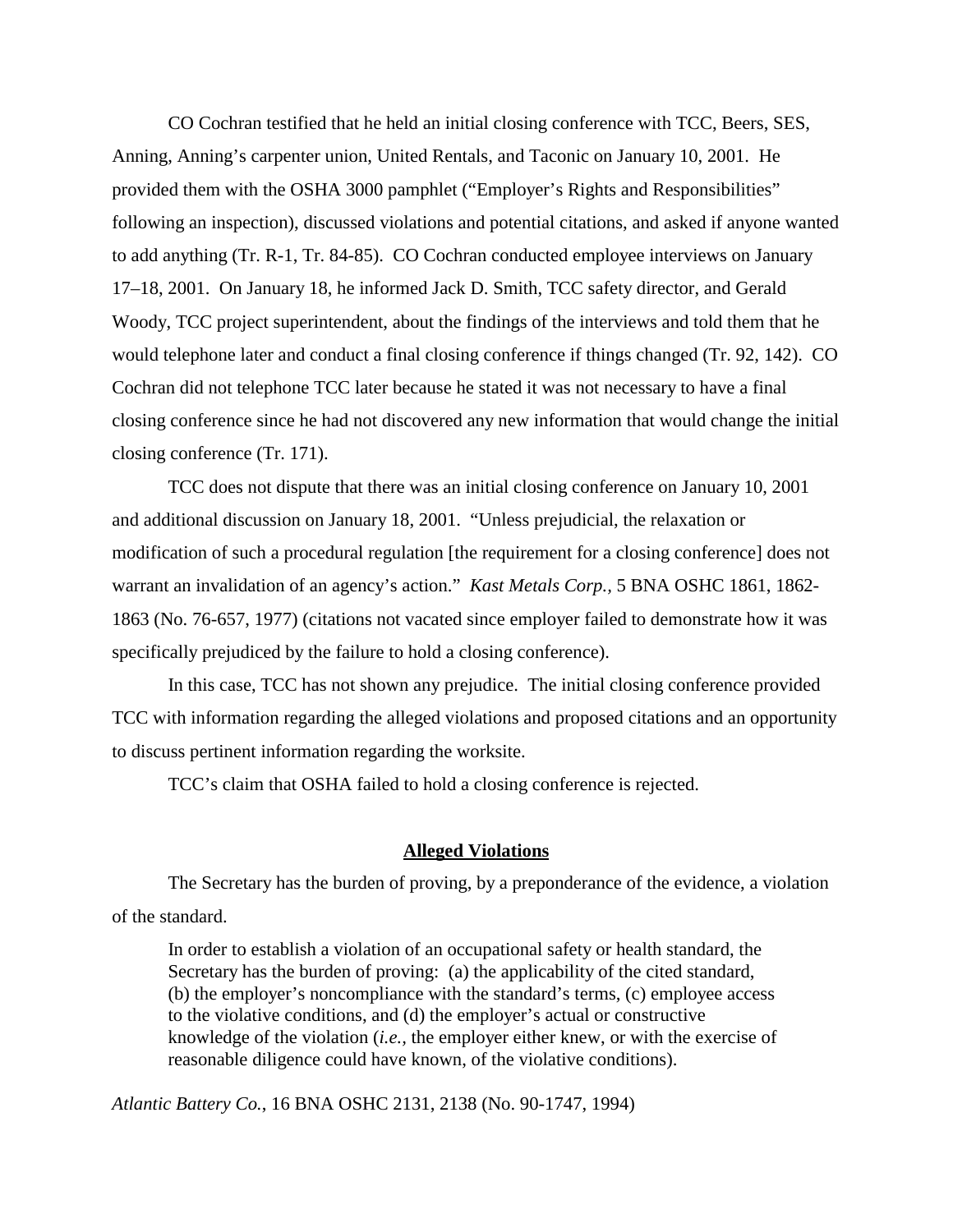CO Cochran testified that he held an initial closing conference with TCC, Beers, SES, Anning, Anning's carpenter union, United Rentals, and Taconic on January 10, 2001. He provided them with the OSHA 3000 pamphlet ("Employer's Rights and Responsibilities" following an inspection), discussed violations and potential citations, and asked if anyone wanted to add anything (Tr. R-1, Tr. 84-85). CO Cochran conducted employee interviews on January 17–18, 2001. On January 18, he informed Jack D. Smith, TCC safety director, and Gerald Woody, TCC project superintendent, about the findings of the interviews and told them that he would telephone later and conduct a final closing conference if things changed (Tr. 92, 142). CO Cochran did not telephone TCC later because he stated it was not necessary to have a final closing conference since he had not discovered any new information that would change the initial closing conference (Tr. 171).

TCC does not dispute that there was an initial closing conference on January 10, 2001 and additional discussion on January 18, 2001. "Unless prejudicial, the relaxation or modification of such a procedural regulation [the requirement for a closing conference] does not warrant an invalidation of an agency's action." *Kast Metals Corp.,* 5 BNA OSHC 1861, 1862- 1863 (No. 76-657, 1977) (citations not vacated since employer failed to demonstrate how it was specifically prejudiced by the failure to hold a closing conference).

In this case, TCC has not shown any prejudice. The initial closing conference provided TCC with information regarding the alleged violations and proposed citations and an opportunity to discuss pertinent information regarding the worksite.

TCC's claim that OSHA failed to hold a closing conference is rejected.

### **Alleged Violations**

The Secretary has the burden of proving, by a preponderance of the evidence, a violation of the standard.

In order to establish a violation of an occupational safety or health standard, the Secretary has the burden of proving: (a) the applicability of the cited standard, (b) the employer's noncompliance with the standard's terms, (c) employee access to the violative conditions, and (d) the employer's actual or constructive knowledge of the violation (*i.e.,* the employer either knew, or with the exercise of reasonable diligence could have known, of the violative conditions).

*Atlantic Battery Co.*, 16 BNA OSHC 2131, 2138 (No. 90-1747, 1994)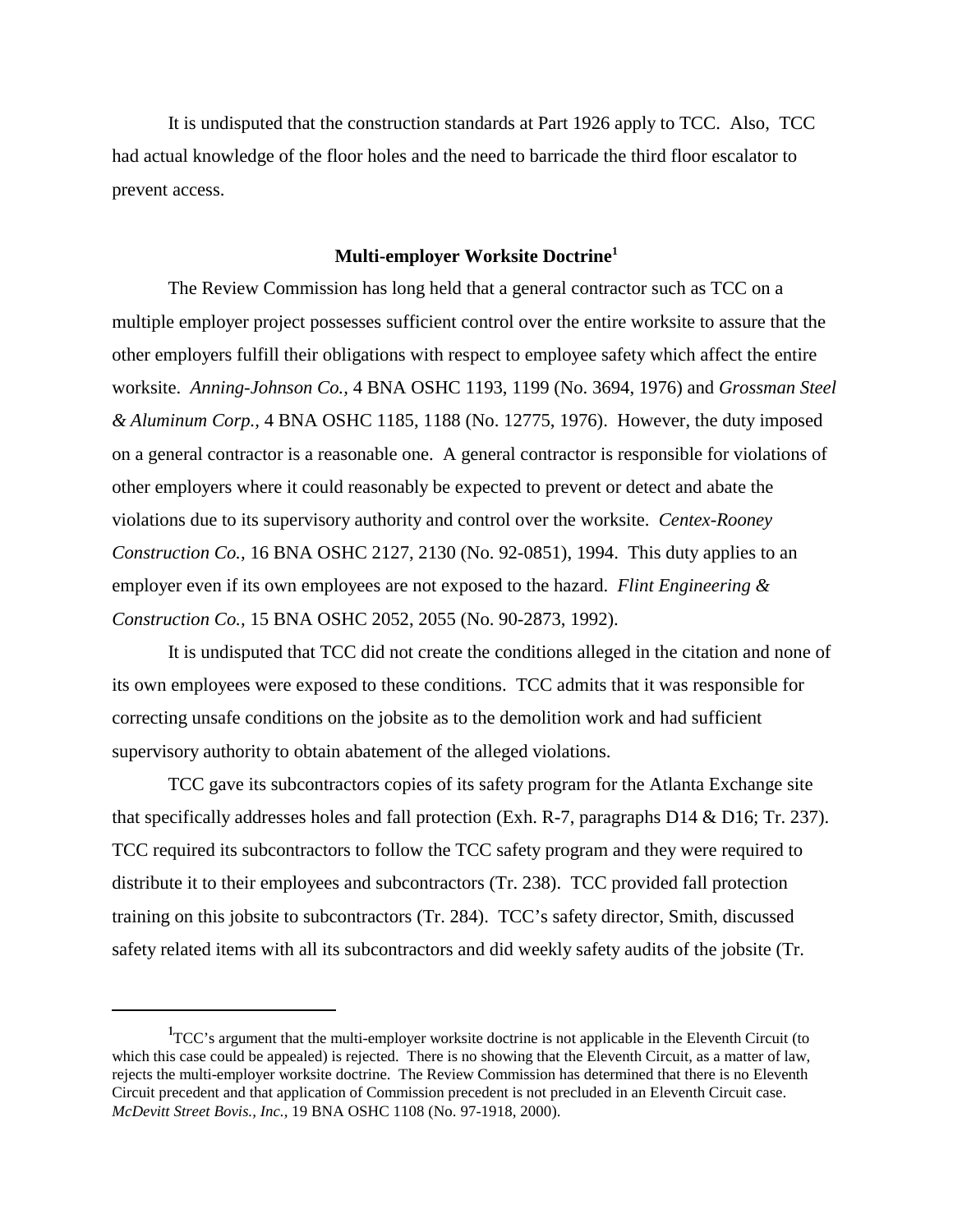It is undisputed that the construction standards at Part 1926 apply to TCC. Also, TCC had actual knowledge of the floor holes and the need to barricade the third floor escalator to prevent access.

# **Multi-employer Worksite Doctrine1**

The Review Commission has long held that a general contractor such as TCC on a multiple employer project possesses sufficient control over the entire worksite to assure that the other employers fulfill their obligations with respect to employee safety which affect the entire worksite. *Anning-Johnson Co.,* 4 BNA OSHC 1193, 1199 (No. 3694, 1976) and *Grossman Steel & Aluminum Corp.,* 4 BNA OSHC 1185, 1188 (No. 12775, 1976). However, the duty imposed on a general contractor is a reasonable one. A general contractor is responsible for violations of other employers where it could reasonably be expected to prevent or detect and abate the violations due to its supervisory authority and control over the worksite. *Centex-Rooney Construction Co.,* 16 BNA OSHC 2127, 2130 (No. 92-0851), 1994. This duty applies to an employer even if its own employees are not exposed to the hazard. *Flint Engineering & Construction Co.,* 15 BNA OSHC 2052, 2055 (No. 90-2873, 1992).

It is undisputed that TCC did not create the conditions alleged in the citation and none of its own employees were exposed to these conditions. TCC admits that it was responsible for correcting unsafe conditions on the jobsite as to the demolition work and had sufficient supervisory authority to obtain abatement of the alleged violations.

TCC gave its subcontractors copies of its safety program for the Atlanta Exchange site that specifically addresses holes and fall protection (Exh. R-7, paragraphs D14 & D16; Tr. 237). TCC required its subcontractors to follow the TCC safety program and they were required to distribute it to their employees and subcontractors (Tr. 238). TCC provided fall protection training on this jobsite to subcontractors (Tr. 284). TCC's safety director, Smith, discussed safety related items with all its subcontractors and did weekly safety audits of the jobsite (Tr.

<sup>&</sup>lt;sup>1</sup>TCC's argument that the multi-employer worksite doctrine is not applicable in the Eleventh Circuit (to which this case could be appealed) is rejected. There is no showing that the Eleventh Circuit, as a matter of law, rejects the multi-employer worksite doctrine. The Review Commission has determined that there is no Eleventh Circuit precedent and that application of Commission precedent is not precluded in an Eleventh Circuit case. *McDevitt Street Bovis., Inc.,* 19 BNA OSHC 1108 (No. 97-1918, 2000).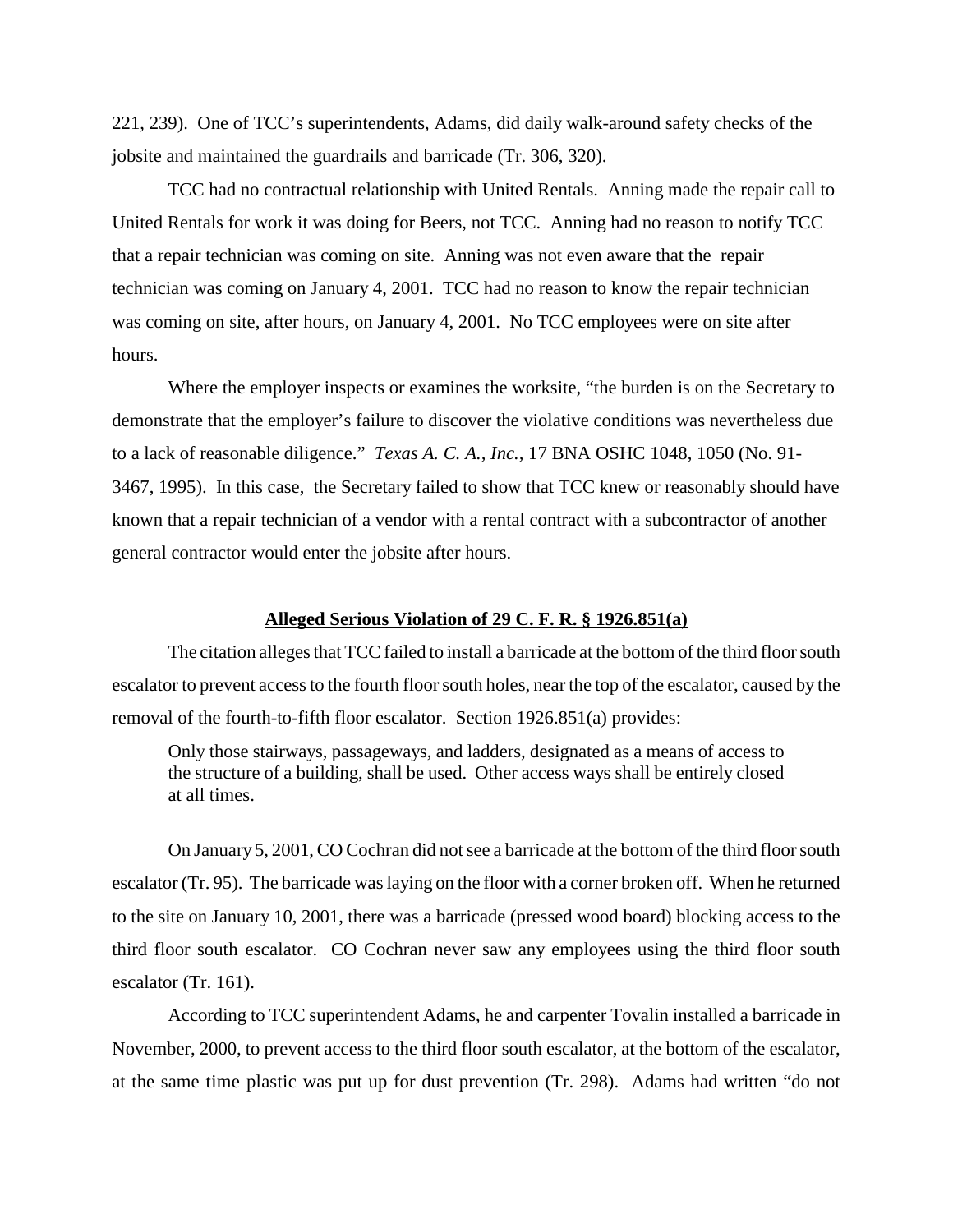221, 239). One of TCC's superintendents, Adams, did daily walk-around safety checks of the jobsite and maintained the guardrails and barricade (Tr. 306, 320).

TCC had no contractual relationship with United Rentals. Anning made the repair call to United Rentals for work it was doing for Beers, not TCC. Anning had no reason to notify TCC that a repair technician was coming on site. Anning was not even aware that the repair technician was coming on January 4, 2001. TCC had no reason to know the repair technician was coming on site, after hours, on January 4, 2001. No TCC employees were on site after hours.

Where the employer inspects or examines the worksite, "the burden is on the Secretary to demonstrate that the employer's failure to discover the violative conditions was nevertheless due to a lack of reasonable diligence." *Texas A. C. A., Inc.,* 17 BNA OSHC 1048, 1050 (No. 91- 3467, 1995). In this case, the Secretary failed to show that TCC knew or reasonably should have known that a repair technician of a vendor with a rental contract with a subcontractor of another general contractor would enter the jobsite after hours.

## **Alleged Serious Violation of 29 C. F. R. § 1926.851(a)**

The citation alleges that TCC failed to install a barricade at the bottom of the third floor south escalator to prevent access to the fourth floor south holes, near the top of the escalator, caused by the removal of the fourth-to-fifth floor escalator. Section 1926.851(a) provides:

Only those stairways, passageways, and ladders, designated as a means of access to the structure of a building, shall be used. Other access ways shall be entirely closed at all times.

On January 5, 2001, CO Cochran did not see a barricade at the bottom of the third floor south escalator (Tr. 95). The barricade was laying on the floor with a corner broken off. When he returned to the site on January 10, 2001, there was a barricade (pressed wood board) blocking access to the third floor south escalator. CO Cochran never saw any employees using the third floor south escalator (Tr. 161).

According to TCC superintendent Adams, he and carpenter Tovalin installed a barricade in November, 2000, to prevent access to the third floor south escalator, at the bottom of the escalator, at the same time plastic was put up for dust prevention (Tr. 298). Adams had written "do not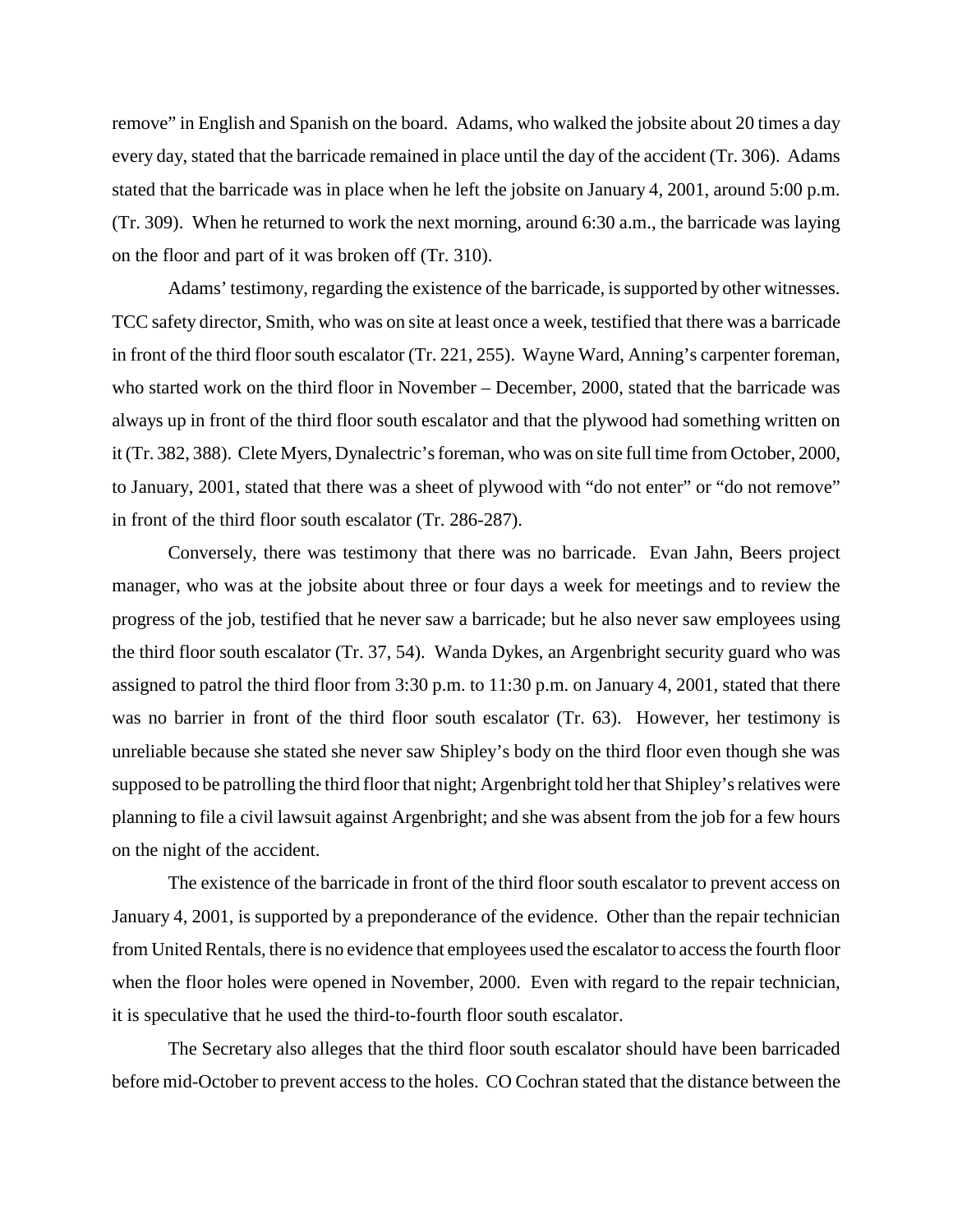remove" in English and Spanish on the board. Adams, who walked the jobsite about 20 times a day every day, stated that the barricade remained in place until the day of the accident (Tr. 306). Adams stated that the barricade was in place when he left the jobsite on January 4, 2001, around 5:00 p.m. (Tr. 309). When he returned to work the next morning, around 6:30 a.m., the barricade was laying on the floor and part of it was broken off (Tr. 310).

Adams' testimony, regarding the existence of the barricade, is supported by other witnesses. TCC safety director, Smith, who was on site at least once a week, testified that there was a barricade in front of the third floor south escalator (Tr. 221, 255). Wayne Ward, Anning's carpenter foreman, who started work on the third floor in November – December, 2000, stated that the barricade was always up in front of the third floor south escalator and that the plywood had something written on it (Tr. 382, 388). Clete Myers, Dynalectric's foreman, who was on site full time from October, 2000, to January, 2001, stated that there was a sheet of plywood with "do not enter" or "do not remove" in front of the third floor south escalator (Tr. 286-287).

Conversely, there was testimony that there was no barricade. Evan Jahn, Beers project manager, who was at the jobsite about three or four days a week for meetings and to review the progress of the job, testified that he never saw a barricade; but he also never saw employees using the third floor south escalator (Tr. 37, 54). Wanda Dykes, an Argenbright security guard who was assigned to patrol the third floor from 3:30 p.m. to 11:30 p.m. on January 4, 2001, stated that there was no barrier in front of the third floor south escalator (Tr. 63). However, her testimony is unreliable because she stated she never saw Shipley's body on the third floor even though she was supposed to be patrolling the third floor that night; Argenbright told her that Shipley's relatives were planning to file a civil lawsuit against Argenbright; and she was absent from the job for a few hours on the night of the accident.

The existence of the barricade in front of the third floor south escalator to prevent access on January 4, 2001, is supported by a preponderance of the evidence. Other than the repair technician from United Rentals, there is no evidence that employees used the escalator to access the fourth floor when the floor holes were opened in November, 2000. Even with regard to the repair technician, it is speculative that he used the third-to-fourth floor south escalator.

The Secretary also alleges that the third floor south escalator should have been barricaded before mid-October to prevent access to the holes. CO Cochran stated that the distance between the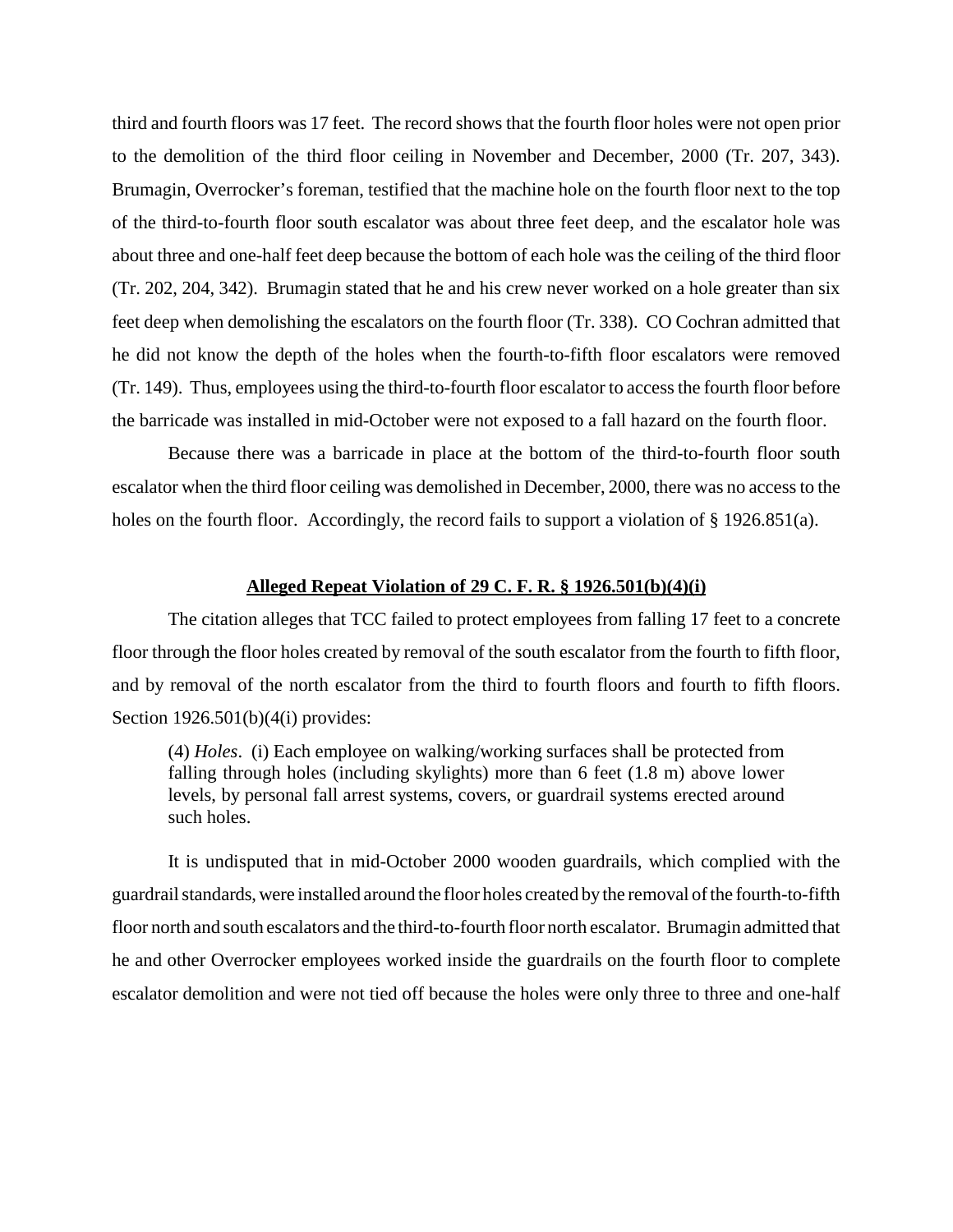third and fourth floors was 17 feet. The record shows that the fourth floor holes were not open prior to the demolition of the third floor ceiling in November and December, 2000 (Tr. 207, 343). Brumagin, Overrocker's foreman, testified that the machine hole on the fourth floor next to the top of the third-to-fourth floor south escalator was about three feet deep, and the escalator hole was about three and one-half feet deep because the bottom of each hole was the ceiling of the third floor (Tr. 202, 204, 342). Brumagin stated that he and his crew never worked on a hole greater than six feet deep when demolishing the escalators on the fourth floor (Tr. 338). CO Cochran admitted that he did not know the depth of the holes when the fourth-to-fifth floor escalators were removed (Tr. 149). Thus, employees using the third-to-fourth floor escalator to access the fourth floor before the barricade was installed in mid-October were not exposed to a fall hazard on the fourth floor.

Because there was a barricade in place at the bottom of the third-to-fourth floor south escalator when the third floor ceiling was demolished in December, 2000, there was no access to the holes on the fourth floor. Accordingly, the record fails to support a violation of § 1926.851(a).

#### **Alleged Repeat Violation of 29 C. F. R. § 1926.501(b)(4)(i)**

The citation alleges that TCC failed to protect employees from falling 17 feet to a concrete floor through the floor holes created by removal of the south escalator from the fourth to fifth floor, and by removal of the north escalator from the third to fourth floors and fourth to fifth floors. Section 1926.501(b)(4(i) provides:

(4) *Holes*. (i) Each employee on walking/working surfaces shall be protected from falling through holes (including skylights) more than 6 feet (1.8 m) above lower levels, by personal fall arrest systems, covers, or guardrail systems erected around such holes.

It is undisputed that in mid-October 2000 wooden guardrails, which complied with the guardrail standards, were installed around the floor holes created by the removal of the fourth-to-fifth floor north and south escalators and the third-to-fourth floor north escalator. Brumagin admitted that he and other Overrocker employees worked inside the guardrails on the fourth floor to complete escalator demolition and were not tied off because the holes were only three to three and one-half